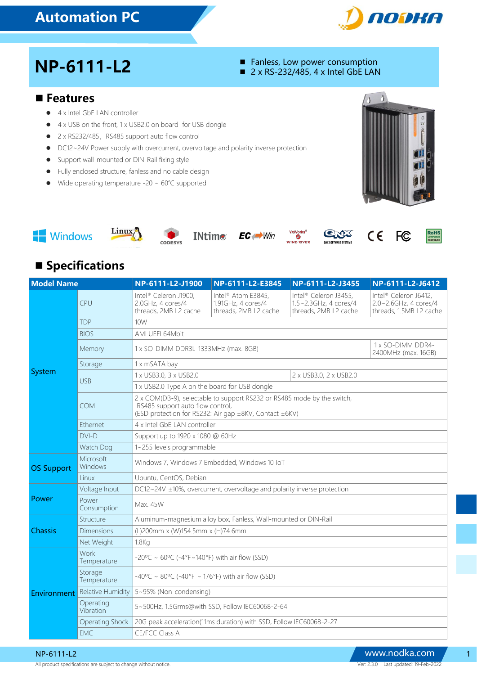## Automation PC



# $NP-6111-L2$  **Fanless, Low power consumption**<br>  $2 \times RS-232/485, 4 \times Intel GbE LAN$

- 
- 

#### ■ Features

- 4 x Intel GbE LAN controller
- 4 x USB on the front, 1 x USB2.0 on board for USB dongle
- 2 x RS232/485, RS485 support auto flow control
- DC12~24V Power supply with overcurrent, overvoltage and polarity inverse protection
- **•** Support wall-mounted or DIN-Rail fixing style
- Fully enclosed structure, fanless and no cable design
- Wide operating temperature -20 ~ 60℃ supported













**D RIVER** 

FC.

 $C \in$ 



#### **Specifications**

| <b>Model Name</b> |                             | NP-6111-L2-J1900                                                                                                                                                      | NP-6111-L2-E3845                                                              | NP-6111-L2-J3455                                                        | NP-6111-L2-J6412                                                          |  |
|-------------------|-----------------------------|-----------------------------------------------------------------------------------------------------------------------------------------------------------------------|-------------------------------------------------------------------------------|-------------------------------------------------------------------------|---------------------------------------------------------------------------|--|
| System            | CPU                         | Intel® Celeron J1900,<br>2.0GHz, 4 cores/4<br>threads, 2MB L2 cache                                                                                                   | Intel <sup>®</sup> Atom E3845,<br>1.91GHz, 4 cores/4<br>threads, 2MB L2 cache | Intel® Celeron J3455,<br>1.5~2.3GHz, 4 cores/4<br>threads, 2MB L2 cache | Intel® Celeron J6412,<br>2.0~2.6GHz, 4 cores/4<br>threads, 1.5MB L2 cache |  |
|                   | <b>TDP</b>                  | 10W                                                                                                                                                                   |                                                                               |                                                                         |                                                                           |  |
|                   | <b>BIOS</b>                 | AMI UEFI 64Mbit                                                                                                                                                       |                                                                               |                                                                         |                                                                           |  |
|                   | Memory                      | 1 x SO-DIMM DDR3L-1333MHz (max. 8GB)                                                                                                                                  |                                                                               |                                                                         | 1 x SO-DIMM DDR4-<br>2400MHz (max. 16GB)                                  |  |
|                   | Storage                     | 1 x mSATA bay                                                                                                                                                         |                                                                               |                                                                         |                                                                           |  |
|                   | <b>USB</b>                  | 1 x USB3.0, 3 x USB2.0                                                                                                                                                |                                                                               | 2 x USB3.0, 2 x USB2.0                                                  |                                                                           |  |
|                   |                             | 1 x USB2.0 Type A on the board for USB dongle                                                                                                                         |                                                                               |                                                                         |                                                                           |  |
|                   | COM                         | 2 x COM(DB-9), selectable to support RS232 or RS485 mode by the switch,<br>RS485 support auto flow control,<br>(ESD protection for RS232: Air gap ±8KV, Contact ±6KV) |                                                                               |                                                                         |                                                                           |  |
|                   | <b>Fthernet</b>             | 4 x Intel GbE LAN controller                                                                                                                                          |                                                                               |                                                                         |                                                                           |  |
|                   | $DVI-D$                     | Support up to 1920 x 1080 @ 60Hz                                                                                                                                      |                                                                               |                                                                         |                                                                           |  |
|                   | Watch Dog                   | 1~255 levels programmable                                                                                                                                             |                                                                               |                                                                         |                                                                           |  |
| <b>OS Support</b> | Microsoft<br><b>Windows</b> | Windows 7, Windows 7 Embedded, Windows 10 IoT                                                                                                                         |                                                                               |                                                                         |                                                                           |  |
|                   | Linux                       | Ubuntu, CentOS, Debian                                                                                                                                                |                                                                               |                                                                         |                                                                           |  |
|                   | Voltage Input               | DC12~24V ±10%, overcurrent, overvoltage and polarity inverse protection                                                                                               |                                                                               |                                                                         |                                                                           |  |
| Power             | Power<br>Consumption        | Max. 45W                                                                                                                                                              |                                                                               |                                                                         |                                                                           |  |
| Chassis           | Structure                   | Aluminum-magnesium alloy box, Fanless, Wall-mounted or DIN-Rail                                                                                                       |                                                                               |                                                                         |                                                                           |  |
|                   | Dimensions                  | (L)200mm x (W)154.5mm x (H)74.6mm                                                                                                                                     |                                                                               |                                                                         |                                                                           |  |
|                   | Net Weight                  | 1.8 <sub>K<sub>G</sub></sub>                                                                                                                                          |                                                                               |                                                                         |                                                                           |  |
| Environment       | Work<br>Temperature         | $-20^{\circ}$ C ~ 60°C (-4°F~140°F) with air flow (SSD)                                                                                                               |                                                                               |                                                                         |                                                                           |  |
|                   | Storage<br>Temperature      | $-40^{\circ}$ C ~ 80°C (-40°F ~ 176°F) with air flow (SSD)                                                                                                            |                                                                               |                                                                         |                                                                           |  |
|                   | <b>Relative Humidity</b>    | 5~95% (Non-condensing)                                                                                                                                                |                                                                               |                                                                         |                                                                           |  |
|                   | Operating<br>Vibration      | 5~500Hz, 1.5Grms@with SSD, Follow IEC60068-2-64                                                                                                                       |                                                                               |                                                                         |                                                                           |  |
|                   | <b>Operating Shock</b>      | 20G peak acceleration(11ms duration) with SSD, Follow IEC60068-2-27                                                                                                   |                                                                               |                                                                         |                                                                           |  |
|                   | <b>FMC</b>                  | CE/FCC Class A                                                                                                                                                        |                                                                               |                                                                         |                                                                           |  |